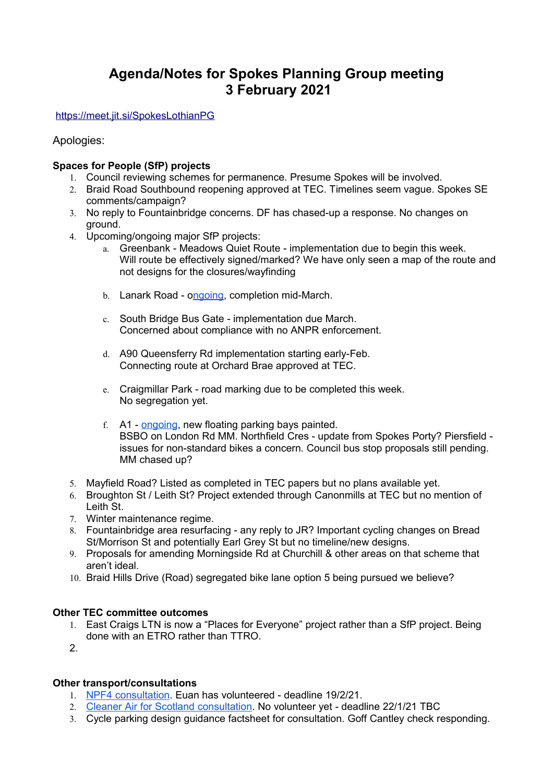# **Agenda/Notes for Spokes Planning Group meeting 3 February 2021**

<https://meet.jit.si/SpokesLothianPG>

Apologies:

## **Spaces for People (SfP) projects**

- 1. Council reviewing schemes for permanence. Presume Spokes will be involved.
- 2. Braid Road Southbound reopening approved at TEC. Timelines seem vague. Spokes SE comments/campaign?
- 3. No reply to Fountainbridge concerns. DF has chased-up a response. No changes on ground.
- 4. Upcoming/ongoing major SfP projects:
	- a. Greenbank Meadows Quiet Route implementation due to begin this week. Will route be effectively signed/marked? We have only seen a map of the route and not designs for the closures/wayfinding
	- b. Lanark Road [ongoing,](https://twitter.com/SueJWebber/status/1354043991734550531?s=20) completion mid-March.
	- c. South Bridge Bus Gate implementation due March. Concerned about compliance with no ANPR enforcement.
	- d. A90 Queensferry Rd implementation starting early-Feb. Connecting route at Orchard Brae approved at TEC.
	- e. Craigmillar Park road marking due to be completed this week. No segregation yet.
	- f. A1 - [ongoing,](https://twitter.com/jonnyed55/status/1355531988007055369?s=20) new floating parking bays painted. BSBO on London Rd MM. Northfield Cres - update from Spokes Porty? Piersfield issues for non-standard bikes a concern. Council bus stop proposals still pending. MM chased up?
- 5. Mayfield Road? Listed as completed in TEC papers but no plans available yet.
- 6. Broughton St / Leith St? Project extended through Canonmills at TEC but no mention of Leith St.
- 7. Winter maintenance regime.
- 8. Fountainbridge area resurfacing any reply to JR? Important cycling changes on Bread St/Morrison St and potentially Earl Grey St but no timeline/new designs.
- 9. Proposals for amending Morningside Rd at Churchill & other areas on that scheme that aren't ideal.
- 10. Braid Hills Drive (Road) segregated bike lane option 5 being pursued we believe?

## **Other TEC committee outcomes**

- 1. East Craigs LTN is now a "Places for Everyone" project rather than a SfP project. Being done with an ETRO rather than TTRO.
- 2.

## **Other transport/consultations**

- 1. [NPF4 consultation.](https://consult.gov.scot/planning-architecture/national-planning-framework-position-statement/) Euan has volunteered deadline 19/2/21.
- 2. [Cleaner Air for Scotland consultation.](https://consult.gov.scot/environmental-quality/cleaner-air-for-scotland-2/) No volunteer yet deadline 22/1/21 TBC
- 3. Cycle parking design guidance factsheet for consultation. Goff Cantley check responding.